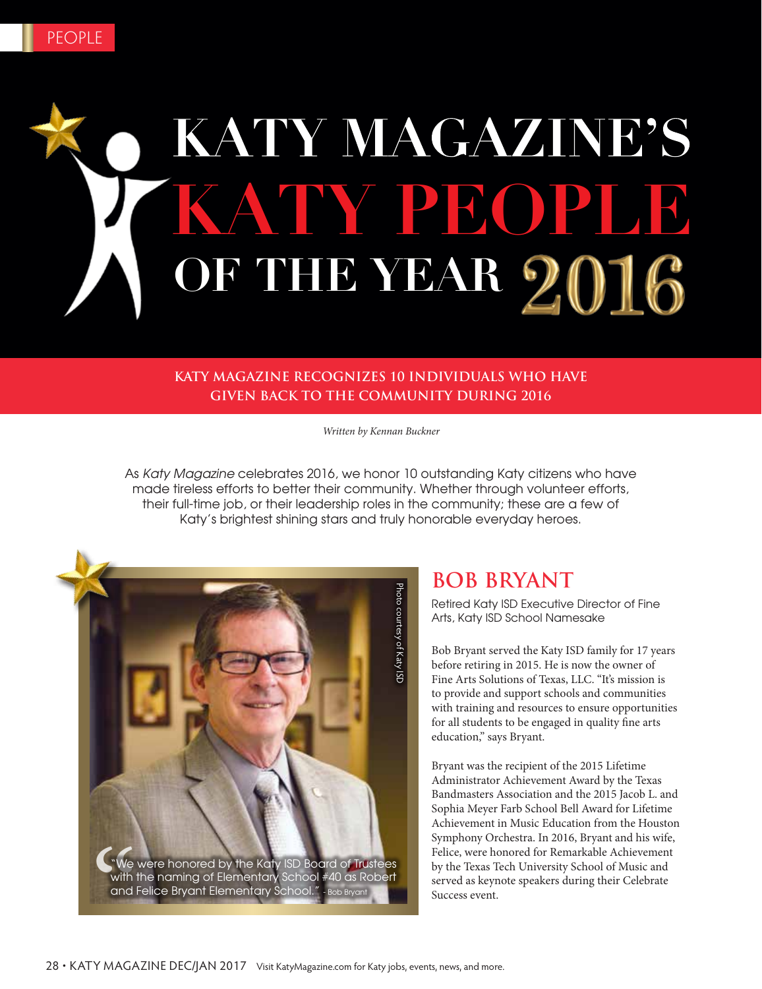# KATY MAGAZINE'S **KATY PEOPLE OF THE YEAR**

#### **KATY MAGAZINE RECOGNIZES 10 INDIVIDUALS WHO HAVE GIVEN BACK TO THE COMMUNITY DURING 2016**

*Written by Kennan Buckner*

As Katy Magazine celebrates 2016, we honor 10 outstanding Katy citizens who have made tireless efforts to better their community. Whether through volunteer efforts, their full-time job, or their leadership roles in the community; these are a few of Katy's brightest shining stars and truly honorable everyday heroes.



#### **BOB BRYANT**

Retired Katy ISD Executive Director of Fine Arts, Katy ISD School Namesake

Bob Bryant served the Katy ISD family for 17 years before retiring in 2015. He is now the owner of Fine Arts Solutions of Texas, LLC. "It's mission is to provide and support schools and communities with training and resources to ensure opportunities for all students to be engaged in quality fine arts education," says Bryant.

Bryant was the recipient of the 2015 Lifetime Administrator Achievement Award by the Texas Bandmasters Association and the 2015 Jacob L. and Sophia Meyer Farb School Bell Award for Lifetime Achievement in Music Education from the Houston Symphony Orchestra. In 2016, Bryant and his wife, Felice, were honored for Remarkable Achievement by the Texas Tech University School of Music and served as keynote speakers during their Celebrate Success event.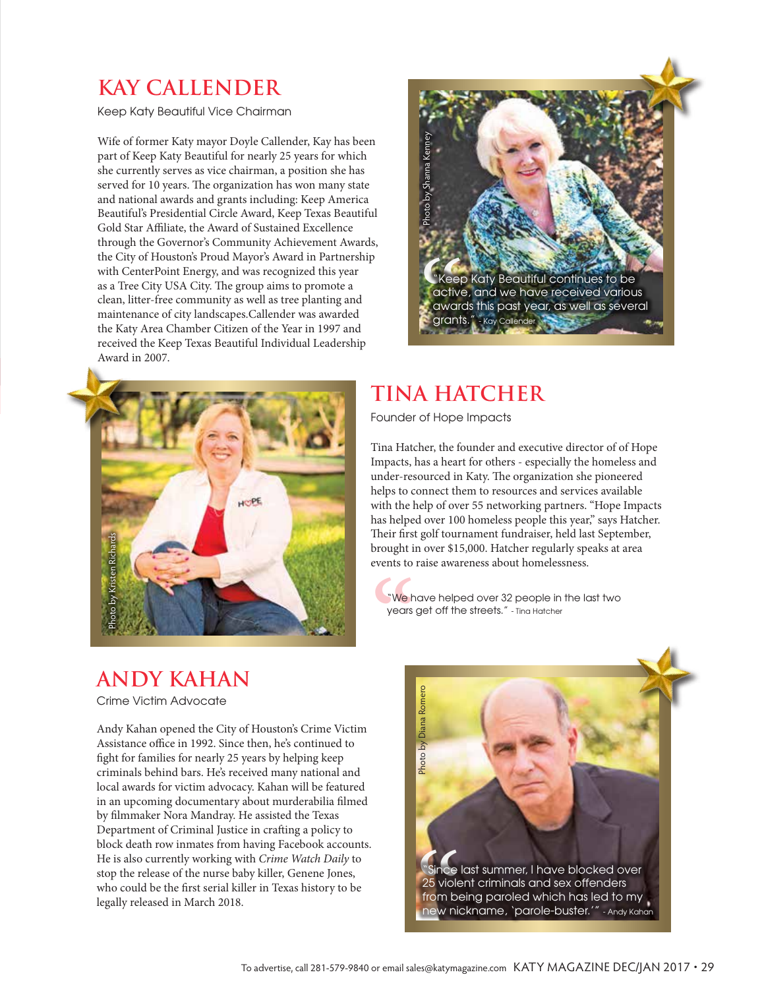#### **KAY CALLENDER**

Keep Katy Beautiful Vice Chairman

Wife of former Katy mayor Doyle Callender, Kay has been part of Keep Katy Beautiful for nearly 25 years for which she currently serves as vice chairman, a position she has served for 10 years. The organization has won many state and national awards and grants including: Keep America Beautiful's Presidential Circle Award, Keep Texas Beautiful Gold Star Affiliate, the Award of Sustained Excellence through the Governor's Community Achievement Awards, the City of Houston's Proud Mayor's Award in Partnership with CenterPoint Energy, and was recognized this year as a Tree City USA City. The group aims to promote a clean, litter-free community as well as tree planting and maintenance of city landscapes.Callender was awarded the Katy Area Chamber Citizen of the Year in 1997 and received the Keep Texas Beautiful Individual Leadership Award in 2007.





### **TINA HATCHER**

Founder of Hope Impacts

Tina Hatcher, the founder and executive director of of Hope Impacts, has a heart for others - especially the homeless and under-resourced in Katy. The organization she pioneered helps to connect them to resources and services available with the help of over 55 networking partners. "Hope Impacts has helped over 100 homeless people this year," says Hatcher. Their first golf tournament fundraiser, held last September, brought in over \$15,000. Hatcher regularly speaks at area events to raise awareness about homelessness.

"We have helped over 32 people in the last two years get off the streets." - Tina Hatcher

### **ANDY KAHAN**

Crime Victim Advocate

Andy Kahan opened the City of Houston's Crime Victim Assistance office in 1992. Since then, he's continued to fight for families for nearly 25 years by helping keep criminals behind bars. He's received many national and local awards for victim advocacy. Kahan will be featured in an upcoming documentary about murderabilia filmed by filmmaker Nora Mandray. He assisted the Texas Department of Criminal Justice in crafting a policy to block death row inmates from having Facebook accounts. He is also currently working with *Crime Watch Daily* to stop the release of the nurse baby killer, Genene Jones, who could be the first serial killer in Texas history to be legally released in March 2018.

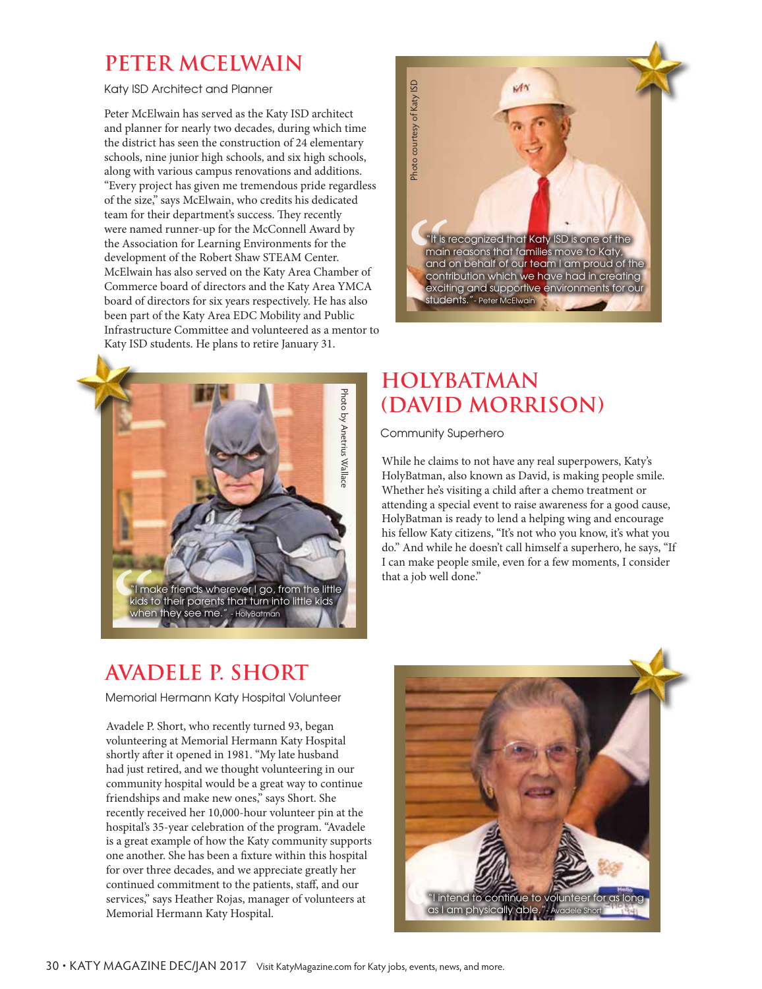#### **PETER MCELWAIN**

Katy ISD Architect and Planner

Peter McElwain has served as the Katy ISD architect and planner for nearly two decades, during which time the district has seen the construction of 24 elementary schools, nine junior high schools, and six high schools, along with various campus renovations and additions. "Every project has given me tremendous pride regardless of the size," says McElwain, who credits his dedicated team for their department's success. They recently were named runner-up for the McConnell Award by the Association for Learning Environments for the development of the Robert Shaw STEAM Center. McElwain has also served on the Katy Area Chamber of Commerce board of directors and the Katy Area YMCA board of directors for six years respectively. He has also been part of the Katy Area EDC Mobility and Public Infrastructure Committee and volunteered as a mentor to Katy ISD students. He plans to retire January 31.





#### **HOLYBATMAN (DAVID MORRISON)**

Community Superhero

While he claims to not have any real superpowers, Katy's HolyBatman, also known as David, is making people smile. Whether he's visiting a child after a chemo treatment or attending a special event to raise awareness for a good cause, HolyBatman is ready to lend a helping wing and encourage his fellow Katy citizens, "It's not who you know, it's what you do." And while he doesn't call himself a superhero, he says, "If I can make people smile, even for a few moments, I consider

### **AVADELE P. SHORT**

Memorial Hermann Katy Hospital Volunteer

Avadele P. Short, who recently turned 93, began volunteering at Memorial Hermann Katy Hospital shortly after it opened in 1981. "My late husband had just retired, and we thought volunteering in our community hospital would be a great way to continue friendships and make new ones," says Short. She recently received her 10,000-hour volunteer pin at the hospital's 35-year celebration of the program. "Avadele is a great example of how the Katy community supports one another. She has been a fixture within this hospital for over three decades, and we appreciate greatly her continued commitment to the patients, staff, and our services," says Heather Rojas, manager of volunteers at Memorial Hermann Katy Hospital.

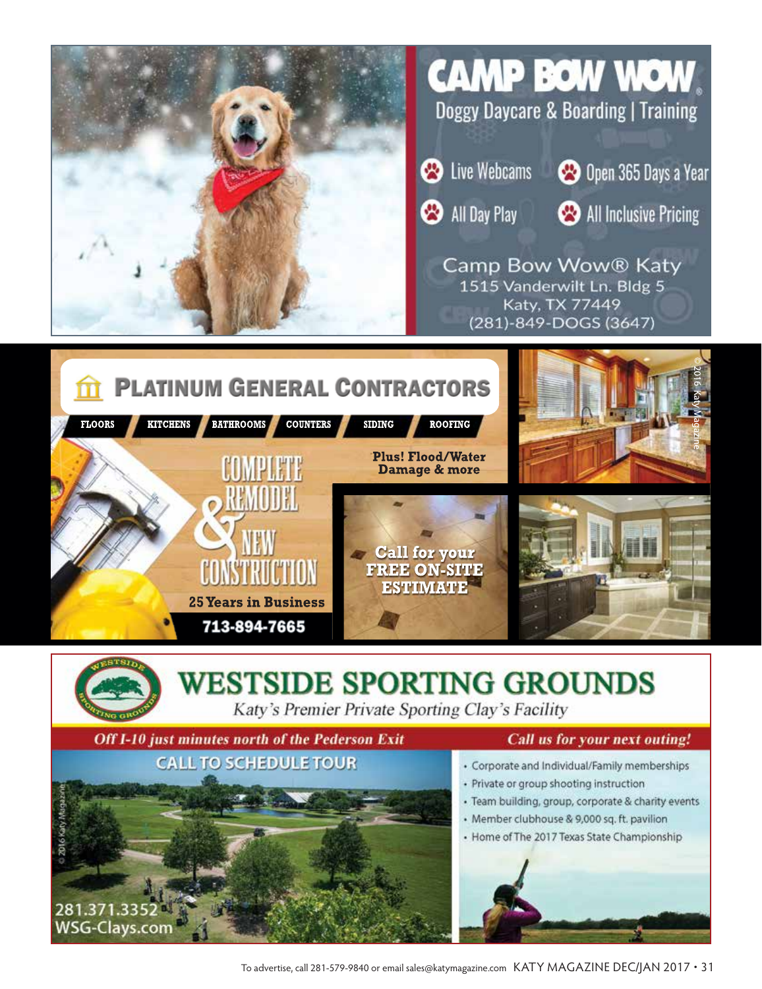



#### **WESTSIDE SPORTING GROUNDS** Katy's Premier Private Sporting Clay's Facility

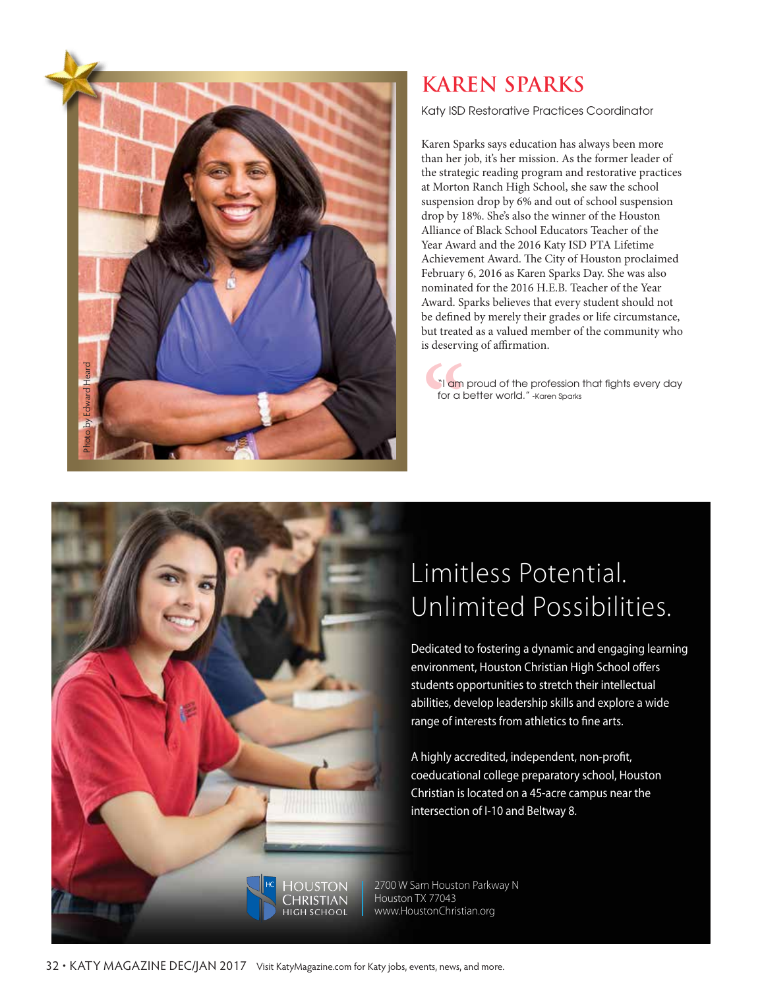

### **KAREN SPARKS**

Katy ISD Restorative Practices Coordinator

Karen Sparks says education has always been more than her job, it's her mission. As the former leader of the strategic reading program and restorative practices at Morton Ranch High School, she saw the school suspension drop by 6% and out of school suspension drop by 18%. She's also the winner of the Houston Alliance of Black School Educators Teacher of the Year Award and the 2016 Katy ISD PTA Lifetime Achievement Award. The City of Houston proclaimed February 6, 2016 as Karen Sparks Day. She was also nominated for the 2016 H.E.B. Teacher of the Year Award. Sparks believes that every student should not be defined by merely their grades or life circumstance, but treated as a valued member of the community who is deserving of affirmation.

"| am<br>for a k "I am proud of the profession that fights every day for a better world." - Karen Sparks

## Limitless Potential. Unlimited Possibilities.

Dedicated to fostering a dynamic and engaging learning environment, Houston Christian High School offers students opportunities to stretch their intellectual abilities, develop leadership skills and explore a wide range of interests from athletics to fine arts.

A highly accredited, independent, non-profit, coeducational college preparatory school, Houston Christian is located on a 45-acre campus near the intersection of I-10 and Beltway 8.

2700 W Sam Houston Parkway N Houston TX 77043 www.HoustonChristian.org

**OUSTON** Christian нісн ѕсноог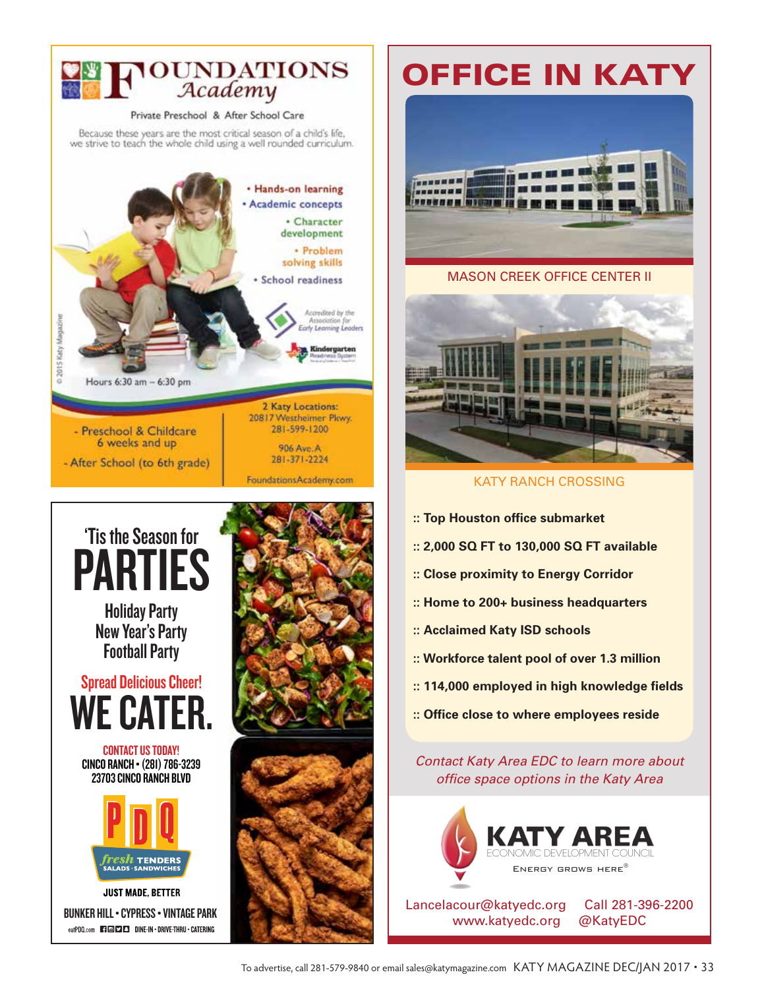

# 'Tis the Season for PARTIES

Holiday Party New Year's Party Football Party



CONTACT US TODAY! CINCO RANCH • (281) 786-3239 23703 CINCO RANCH BLVD



**JUST MADE, BETTER** BUNKER HILL • CYPRESS • VINTAGE PARK eatPDQ.com **ETERED DINE-IN . DRIVE-THRU . CATERING** 





# Office in Katy



#### Mason CrEEK offiCE CEntEr ii



**KATY RANCH CROSSING** 

- **:: Top Houston office submarket**
- **:: 2,000 SQ FT to 130,000 SQ FT available**
- **:: Close proximity to Energy Corridor**
- **:: Home to 200+ business headquarters**
- **:: Acclaimed Katy ISD schools**
- **:: Workforce talent pool of over 1.3 million**
- **:: 114,000 employed in high knowledge fields**
- **:: Office close to where employees reside**

*Contact Katy Area EDC to learn more about office space options in the Katy Area*



Lancelacour@katyedc.org Call 281-396-2200 www.katyedc.org @KatyEDC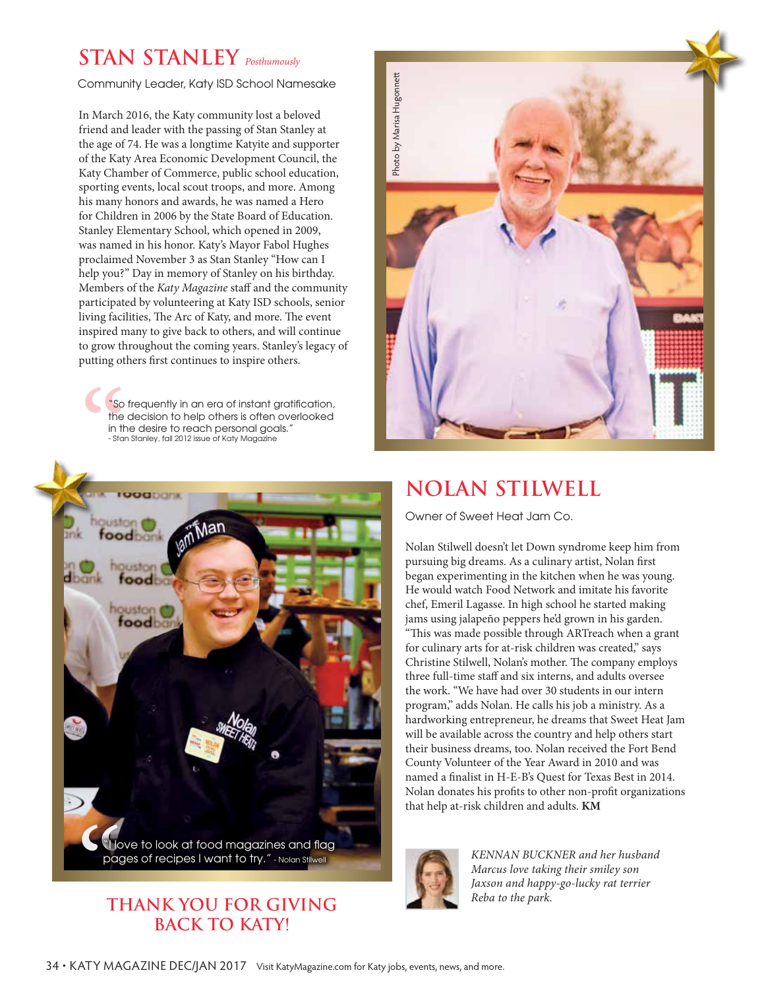## **STAN STANLEY** *Posthumously*

Community Leader, Katy ISD School Namesake

In March 2016, the Katy community lost a beloved friend and leader with the passing of Stan Stanley at the age of 74. He was a longtime Katyite and supporter of the Katy Area Economic Development Council, the Katy Chamber of Commerce, public school education, sporting events, local scout troops, and more. Among his many honors and awards, he was named a Hero for Children in 2006 by the State Board of Education. Stanley Elementary School, which opened in 2009, was named in his honor. Katy's Mayor Fabol Hughes proclaimed November 3 as Stan Stanley "How can I help you?" Day in memory of Stanley on his birthday. Members of the *Katy Magazine* staff and the community participated by volunteering at Katy ISD schools, senior living facilities, The Arc of Katy, and more. The event inspired many to give back to others, and will continue to grow throughout the coming years. Stanley's legacy of putting others first continues to inspire others.

"So frequently in an era of instant gratification, the decision to help others is often overlooked in the desire to reach personal goals." - Stan Stanley, fall 2012 issue of Katy Magazine



#### **THANK YOU FOR GIVING BACK TO KATY!**



#### **NOLAN STILWELL**

Owner of Sweet Heat Jam Co.

Nolan Stilwell doesn't let Down syndrome keep him from pursuing big dreams. As a culinary artist, Nolan first began experimenting in the kitchen when he was young. He would watch Food Network and imitate his favorite chef, Emeril Lagasse. In high school he started making jams using jalapeño peppers he'd grown in his garden. "This was made possible through ARTreach when a grant for culinary arts for at-risk children was created," says Christine Stilwell, Nolan's mother. The company employs three full-time staff and six interns, and adults oversee the work. "We have had over 30 students in our intern program," adds Nolan. He calls his job a ministry. As a hardworking entrepreneur, he dreams that Sweet Heat Jam will be available across the country and help others start their business dreams, too. Nolan received the Fort Bend County Volunteer of the Year Award in 2010 and was named a finalist in H-E-B's Quest for Texas Best in 2014. Nolan donates his profits to other non-profit organizations that help at-risk children and adults. **KM**



*Marcus love taking their smiley son Jaxson and happy-go-lucky rat terrier Reba to the park.*